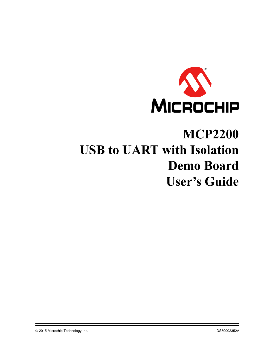

# **MCP2200 USB to UART with Isolation Demo Board User's Guide**

2015 Microchip Technology Inc. DS50002352A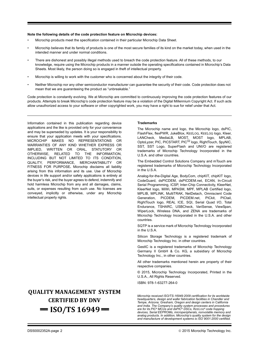#### **Note the following details of the code protection feature on Microchip devices:**

- Microchip products meet the specification contained in their particular Microchip Data Sheet.
- Microchip believes that its family of products is one of the most secure families of its kind on the market today, when used in the intended manner and under normal conditions.
- There are dishonest and possibly illegal methods used to breach the code protection feature. All of these methods, to our knowledge, require using the Microchip products in a manner outside the operating specifications contained in Microchip's Data Sheets. Most likely, the person doing so is engaged in theft of intellectual property.
- Microchip is willing to work with the customer who is concerned about the integrity of their code.
- Neither Microchip nor any other semiconductor manufacturer can guarantee the security of their code. Code protection does not mean that we are guaranteeing the product as "unbreakable."

Code protection is constantly evolving. We at Microchip are committed to continuously improving the code protection features of our products. Attempts to break Microchip's code protection feature may be a violation of the Digital Millennium Copyright Act. If such acts allow unauthorized access to your software or other copyrighted work, you may have a right to sue for relief under that Act.

Information contained in this publication regarding device applications and the like is provided only for your convenience and may be superseded by updates. It is your responsibility to ensure that your application meets with your specifications. MICROCHIP MAKES NO REPRESENTATIONS OR WARRANTIES OF ANY KIND WHETHER EXPRESS OR IMPLIED, WRITTEN OR ORAL, STATUTORY OR OTHERWISE, RELATED TO THE INFORMATION, INCLUDING BUT NOT LIMITED TO ITS CONDITION, QUALITY, PERFORMANCE, MERCHANTABILITY OR FITNESS FOR PURPOSE**.** Microchip disclaims all liability arising from this information and its use. Use of Microchip devices in life support and/or safety applications is entirely at the buyer's risk, and the buyer agrees to defend, indemnify and hold harmless Microchip from any and all damages, claims, suits, or expenses resulting from such use. No licenses are conveyed, implicitly or otherwise, under any Microchip intellectual property rights.

### **QUALITY MANAGEMENT SYSTEM CERTIFIED BY DNV**   $=$  **ISO/TS 16949**  $=$

#### **Trademarks**

The Microchip name and logo, the Microchip logo, dsPIC, FlashFlex, flexPWR, JukeBlox, KEELOQ, KEELOQ logo, Kleer, LANCheck, MediaLB, MOST, MOST logo, MPLAB, OptoLyzer, PIC, PICSTART, PIC32 logo, RightTouch, SpyNIC, SST, SST Logo, SuperFlash and UNI/O are registered trademarks of Microchip Technology Incorporated in the U.S.A. and other countries.

The Embedded Control Solutions Company and mTouch are registered trademarks of Microchip Technology Incorporated in the U.S.A.

Analog-for-the-Digital Age, BodyCom, chipKIT, chipKIT logo, CodeGuard, dsPICDEM, dsPICDEM.net, ECAN, In-Circuit Serial Programming, ICSP, Inter-Chip Connectivity, KleerNet, KleerNet logo, MiWi, MPASM, MPF, MPLAB Certified logo, MPLIB, MPLINK, MultiTRAK, NetDetach, Omniscient Code Generation, PICDEM, PICDEM.net, PICkit, PICtail, RightTouch logo, REAL ICE, SQI, Serial Quad I/O, Total Endurance, TSHARC, USBCheck, VariSense, ViewSpan, WiperLock, Wireless DNA, and ZENA are trademarks of Microchip Technology Incorporated in the U.S.A. and other countries.

SQTP is a service mark of Microchip Technology Incorporated in the U.S.A.

Silicon Storage Technology is a registered trademark of Microchip Technology Inc. in other countries.

GestIC is a registered trademarks of Microchip Technology Germany II GmbH & Co. KG, a subsidiary of Microchip Technology Inc., in other countries.

All other trademarks mentioned herein are property of their respective companies.

© 2015, Microchip Technology Incorporated, Printed in the U.S.A., All Rights Reserved.

ISBN: 978-1-63277-264-0

*Microchip received ISO/TS-16949:2009 certification for its worldwide headquarters, design and wafer fabrication facilities in Chandler and Tempe, Arizona; Gresham, Oregon and design centers in California and India. The Company's quality system processes and procedures are for its PIC® MCUs and dsPIC® DSCs, KEELOQ® code hopping devices, Serial EEPROMs, microperipherals, nonvolatile memory and analog products. In addition, Microchip's quality system for the design and manufacture of development systems is ISO 9001:2000 certified.*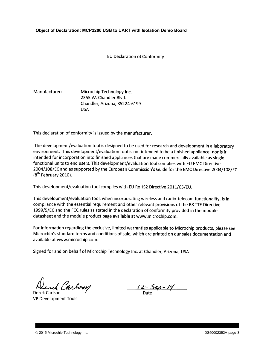#### **Object of Declaration: MCP2200 USB to UART with Isolation Demo Board**

**EU Declaration of Conformity** 

#### Manufacturer: Microchip Technology Inc. 2355 W. Chandler Blvd. Chandler, Arizona, 85224-6199 **USA**

This declaration of conformity is issued by the manufacturer.

The development/evaluation tool is designed to be used for research and development in a laboratory environment. This development/evaluation tool is not intended to be a finished appliance, nor is it intended for incorporation into finished appliances that are made commercially available as single functional units to end users. This development/evaluation tool complies with EU EMC Directive 2004/108/EC and as supported by the European Commission's Guide for the EMC Directive 2004/108/EC  $(8<sup>th</sup>$  February 2010).

This development/evaluation tool complies with EU RoHS2 Directive 2011/65/EU.

This development/evaluation tool, when incorporating wireless and radio-telecom functionality, is in compliance with the essential requirement and other relevant provisions of the R&TTE Directive 1999/5/EC and the FCC rules as stated in the declaration of conformity provided in the module datasheet and the module product page available at www.microchip.com.

For information regarding the exclusive, limited warranties applicable to Microchip products, please see Microchip's standard terms and conditions of sale, which are printed on our sales documentation and available at www.microchip.com.

Signed for and on behalf of Microchip Technology Inc. at Chandler, Arizona, USA

Carlson

Derek Carlson **VP Development Tools** 

<u>12 - Sep - 14</u>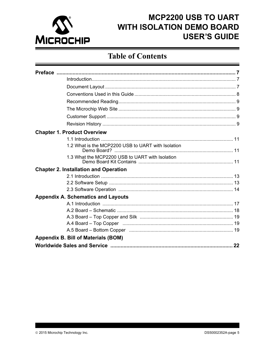

### **Table of Contents**

| <b>Chapter 1. Product Overview</b>                                                                                 |  |
|--------------------------------------------------------------------------------------------------------------------|--|
|                                                                                                                    |  |
| 1.2 What is the MCP2200 USB to UART with Isolation                                                                 |  |
| 1.3 What the MCP2200 USB to UART with Isolation                                                                    |  |
| <b>Chapter 2. Installation and Operation</b>                                                                       |  |
|                                                                                                                    |  |
|                                                                                                                    |  |
|                                                                                                                    |  |
| <b>Appendix A. Schematics and Layouts</b>                                                                          |  |
|                                                                                                                    |  |
|                                                                                                                    |  |
|                                                                                                                    |  |
| A.4 Board – Top Copper (and according contract of the Board – Top Copper (and according continuum) and the Board B |  |
|                                                                                                                    |  |
| <b>Appendix B. Bill of Materials (BOM)</b>                                                                         |  |
|                                                                                                                    |  |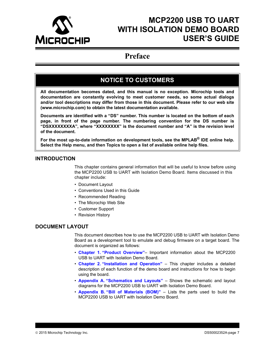<span id="page-6-0"></span>

### **Preface**

### **NOTICE TO CUSTOMERS**

**All documentation becomes dated, and this manual is no exception. Microchip tools and documentation are constantly evolving to meet customer needs, so some actual dialogs and/or tool descriptions may differ from those in this document. Please refer to our web site (www.microchip.com) to obtain the latest documentation available.**

**Documents are identified with a "DS" number. This number is located on the bottom of each page, in front of the page number. The numbering convention for the DS number is "DSXXXXXXXXA", where "XXXXXXXX" is the document number and "A" is the revision level of the document.**

**For the most up-to-date information on development tools, see the MPLAB® IDE online help. Select the Help menu, and then Topics to open a list of available online help files.**

### <span id="page-6-1"></span>**INTRODUCTION**

This chapter contains general information that will be useful to know before using the MCP2200 USB to UART with Isolation Demo Board. Items discussed in this chapter include:

- • [Document Layout](#page-6-2)
- • [Conventions Used in this Guide](#page-7-0)
- • [Recommended Reading](#page-8-0)
- • [The Microchip Web Site](#page-8-1)
- • [Customer Support](#page-8-2)
- • [Revision History](#page-8-3)

### <span id="page-6-2"></span>**DOCUMENT LAYOUT**

This document describes how to use the MCP2200 USB to UART with Isolation Demo Board as a development tool to emulate and debug firmware on a target board. The document is organized as follows:

- **[Chapter 1. "Product Overview"](#page-10-4)** Important information about the MCP2200 USB to UART with Isolation Demo Board.
- **[Chapter 2. "Installation and Operation"](#page-12-3)** This chapter includes a detailed description of each function of the demo board and instructions for how to begin using the board.
- **[Appendix A. "Schematics and Layouts"](#page-16-2)** Shows the schematic and layout diagrams for the MCP2200 USB to UART with Isolation Demo Board.
- **[Appendix B. "Bill of Materials \(BOM\)"](#page-20-1)** Lists the parts used to build the MCP2200 USB to UART with Isolation Demo Board.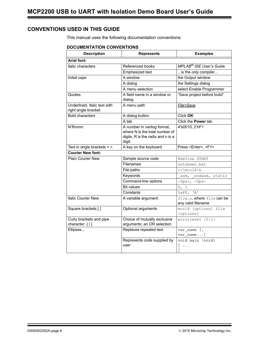### <span id="page-7-0"></span>**CONVENTIONS USED IN THIS GUIDE**

This manual uses the following documentation conventions:

#### **DOCUMENTATION CONVENTIONS**

| <b>Description</b>                                  | <b>Represents</b>                                                                                            | <b>Examples</b>                                   |  |  |
|-----------------------------------------------------|--------------------------------------------------------------------------------------------------------------|---------------------------------------------------|--|--|
| <b>Arial font:</b>                                  |                                                                                                              |                                                   |  |  |
| Italic characters                                   | Referenced books                                                                                             | MPLAB <sup>®</sup> IDE User's Guide               |  |  |
|                                                     | Emphasized text                                                                                              | is the only compiler                              |  |  |
| Initial caps                                        | A window                                                                                                     | the Output window                                 |  |  |
|                                                     | A dialog                                                                                                     | the Settings dialog                               |  |  |
|                                                     | A menu selection                                                                                             | select Enable Programmer                          |  |  |
| Quotes                                              | A field name in a window or<br>dialog                                                                        | "Save project before build"                       |  |  |
| Underlined, Italic text with<br>right angle bracket | A menu path                                                                                                  | File>Save                                         |  |  |
| <b>Bold characters</b>                              | A dialog button                                                                                              | Click OK                                          |  |  |
|                                                     | A tab                                                                                                        | Click the Power tab                               |  |  |
| N'Rnnnn                                             | A number in verilog format,<br>where N is the total number of<br>digits, R is the radix and n is a<br>digit. | 4'b0010, 2'hF1                                    |  |  |
| Text in angle brackets < >                          | A key on the keyboard                                                                                        | Press <enter>, <f1></f1></enter>                  |  |  |
| <b>Courier New font:</b>                            |                                                                                                              |                                                   |  |  |
| <b>Plain Courier New</b>                            | Sample source code                                                                                           | #define START                                     |  |  |
|                                                     | Filenames                                                                                                    | autoexec.bat                                      |  |  |
|                                                     | File paths                                                                                                   | $c:\mctan 8\nh$                                   |  |  |
|                                                     | Keywords                                                                                                     | asm, endasm, static                               |  |  |
|                                                     | Command-line options                                                                                         | $-Opa+, -Opa-$                                    |  |  |
|                                                     | <b>Bit values</b>                                                                                            | 0, 1                                              |  |  |
|                                                     | Constants                                                                                                    | $0 \times FF$ , 'A'                               |  |  |
| <b>Italic Courier New</b>                           | A variable argument                                                                                          | file.o, where file can be<br>any valid filename   |  |  |
| Square brackets []                                  | Optional arguments                                                                                           | mcc18 [options] file<br>[options]                 |  |  |
| Curly brackets and pipe<br>character: $\{  \}$      | Choice of mutually exclusive<br>arguments; an OR selection                                                   | errorlevel {0 1}                                  |  |  |
| Ellipses                                            | Replaces repeated text                                                                                       | var_name [,<br>var name]                          |  |  |
|                                                     | Represents code supplied by<br>user                                                                          | void main (void)<br>$\left\{ \right.$<br>$\ddots$ |  |  |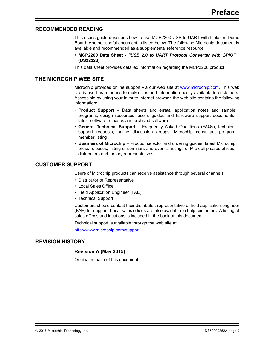### <span id="page-8-0"></span>**RECOMMENDED READING**

This user's guide describes how to use MCP2200 USB to UART with Isolation Demo Board. Another useful document is listed below. The following Microchip document is available and recommended as a supplemental reference resource:

**• MCP2200 Data Sheet -** *"USB 2.0 to UART Protocol Converter with GPIO"* **(DS22228)**

This data sheet provides detailed information regarding the MCP2200 product.

#### <span id="page-8-1"></span>**THE MICROCHIP WEB SITE**

Microchip provides online support via our web site at [www.microchip.com.](http://www.microchip.com) This web site is used as a means to make files and information easily available to customers. Accessible by using your favorite Internet browser, the web site contains the following information:

- **Product Support** Data sheets and errata, application notes and sample programs, design resources, user's guides and hardware support documents, latest software releases and archived software
- **General Technical Support** Frequently Asked Questions (FAQs), technical support requests, online discussion groups, Microchip consultant program member listing
- **Business of Microchip** Product selector and ordering guides, latest Microchip press releases, listing of seminars and events, listings of Microchip sales offices, distributors and factory representatives

### <span id="page-8-2"></span>**CUSTOMER SUPPORT**

Users of Microchip products can receive assistance through several channels:

- Distributor or Representative
- Local Sales Office
- Field Application Engineer (FAE)
- Technical Support

Customers should contact their distributor, representative or field application engineer (FAE) for support. Local sales offices are also available to help customers. A listing of sales offices and locations is included in the back of this document.

Technical support is available through the web site at:

<http://www.microchip.com/support>.

### <span id="page-8-3"></span>**REVISION HISTORY**

#### **Revision A (May 2015)**

Original release of this document.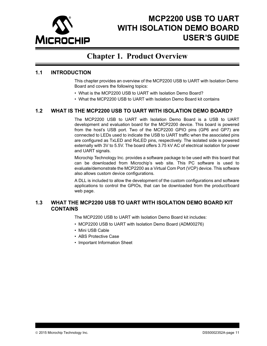

### <span id="page-10-4"></span>**Chapter 1. Product Overview**

### <span id="page-10-1"></span><span id="page-10-0"></span>**1.1 INTRODUCTION**

This chapter provides an overview of the MCP2200 USB to UART with Isolation Demo Board and covers the following topics:

- What is the MCP2200 USB to UART with Isolation Demo Board?
- What the MCP2200 USB to UART with Isolation Demo Board kit contains

### <span id="page-10-2"></span>**1.2 WHAT IS THE MCP2200 USB TO UART WITH ISOLATION DEMO BOARD?**

The MCP2200 USB to UART with Isolation Demo Board is a USB to UART development and evaluation board for the MCP2200 device. This board is powered from the host's USB port. Two of the MCP2200 GPIO pins (GP6 and GP7) are connected to LEDs used to indicate the USB to UART traffic when the associated pins are configured as TxLED and RxLED pins, respectively. The isolated side is powered externally with 3V to 5.5V. The board offers 3.75 kV AC of electrical isolation for power and UART signals.

Microchip Technology Inc. provides a software package to be used with this board that can be downloaded from Microchip's web site. This PC software is used to evaluate/demonstrate the MCP2200 as a Virtual Com Port (VCP) device. This software also allows custom device configurations.

A DLL is included to allow the development of the custom configurations and software applications to control the GPIOs, that can be downloaded from the product/board web page.

### <span id="page-10-3"></span>**1.3 WHAT THE MCP2200 USB TO UART WITH ISOLATION DEMO BOARD KIT CONTAINS**

The MCP2200 USB to UART with Isolation Demo Board kit includes:

- MCP2200 USB to UART with Isolation Demo Board (ADM00276)
- Mini USB Cable
- ABS Protective Case
- Important Information Sheet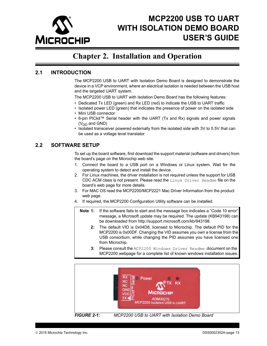

### <span id="page-12-3"></span>**Chapter 2. Installation and Operation**

### <span id="page-12-1"></span><span id="page-12-0"></span>**2.1 INTRODUCTION**

The MCP2200 USB to UART with Isolation Demo Board is designed to demonstrate the device in a VCP environment, where an electrical isolation is needed between the USB host and the targeted UART system.

The MCP2200 USB to UART with Isolation Demo Board has the following features:

- Dedicated Tx LED (green) and Rx LED (red) to indicate the USB to UART traffic
- Isolated power LED (green) that indicates the presence of power on the isolated side
- Mini USB connector
- 6-pin PICkit™ Serial header with the UART (Tx and Rx) signals and power signals  $(V_{DD}$  and GND)
- Isolated transceiver powered externally from the isolated side with 3V to 5.5V that can be used as a voltage level translator

### <span id="page-12-2"></span>**2.2 SOFTWARE SETUP**

To set up the board software, first download the support material (software and drivers) from the board's page on the Microchip web site.

- 1. Connect the board to a USB port on a Windows or Linux system. Wait for the operating system to detect and install the device.
- 2. For Linux machines, the driver installation is not required unless the support for USB CDC ACM class is not present. Please read the Linux Driver Readme file on the board's web page for more details.
- 3. For MAC OS read the MCP2200/MCP2221 Mac Driver Information from the product web page.
- 4. If required, the MCP2200 Configuration Utility software can be installed.
	- **Note 1:** [If the software fails to start and the message box indicates a "Code 10 error"](http://support.microsoft.com/kb/943198) message, a Microsoft update may be required. The update (KB943198) can be downloaded from http://support.microsoft.com/kb/943198.
		- **2:** The default VID is 0x04D8, licensed to Microchip. The default PID for the MCP2200 is 0x00DF. Changing the VID assumes you own a license from the USB consortium, while changing the PID assumes you have licensed one from Microchip.
		- **3:** Please consult the MCP2200 Windows Driver Readme document on the MCP2200 webpage for a complete list of known windows installation issues.



*FIGURE 2-1: MCP2200 USB to UART with Isolation Demo Board*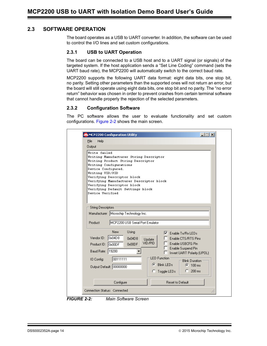### **2.3 SOFTWARE OPERATION**

The board operates as a USB to UART converter. In addition, the software can be used to control the I/O lines and set custom configurations.

#### **2.3.1 USB to UART Operation**

The board can be connected to a USB host and to a UART signal (or signals) of the targeted system. If the host application sends a "Set Line Coding" command (sets the UART baud rate), the MCP2200 will automatically switch to the correct baud rate.

MCP2200 supports the following UART data format: eight data bits, one stop bit, no parity. Setting other parameters than the supported ones will not return an error, but the board will still operate using eight data bits, one stop bit and no parity. The "no error return" behavior was chosen in order to prevent crashes from certain terminal software that cannot handle properly the rejection of the selected parameters.

#### **2.3.2 Configuration Software**

The PC software allows the user to evaluate functionality and set custom configurations. [Figure 2-2](#page-13-0) shows the main screen.

| File<br>Help                                                                    |                                                                                                                                                                                                                                                         |                                                                                                                                                     |  |
|---------------------------------------------------------------------------------|---------------------------------------------------------------------------------------------------------------------------------------------------------------------------------------------------------------------------------------------------------|-----------------------------------------------------------------------------------------------------------------------------------------------------|--|
| Output                                                                          |                                                                                                                                                                                                                                                         |                                                                                                                                                     |  |
| Write failed<br>Device Configured.<br><b>Writing VID/PID</b><br>Device Verified | Writing Manufacturer String Descriptor<br>Writing Product String Descriptor<br><b>Writing Configurations</b><br>Verifying Descriptor block<br>Verifying Manufacturer Descriptor block<br>Verifying Descriptor block<br>Verifying Default Settings block |                                                                                                                                                     |  |
| <b>String Descriptors</b><br>Manufacturer                                       | Microchip Technology Inc.                                                                                                                                                                                                                               |                                                                                                                                                     |  |
| Product                                                                         | MCP2200 USB Serial Port Emulator                                                                                                                                                                                                                        |                                                                                                                                                     |  |
| Vendor ID:<br>Product ID:<br>Baud Rate:                                         | <b>New</b><br>Using<br>Ox04D8<br>0x04D8<br>0x00DF<br>$\vert$ 0x00DF<br>19200                                                                                                                                                                            | ▿<br>Enable Tx/Rx LEDs<br>Enable CTS/RTS Pins<br>Update<br>VID/PID<br>Enable USBCFG Pin<br>Enable Suspend Pin<br><b>Invert UART Polarity (UPOL)</b> |  |
| <b>10 Config:</b>                                                               | 00111111<br>Output Default: 00000000                                                                                                                                                                                                                    | <b>LED</b> Function<br><b>Blink Duration</b><br><b>Blink LEDs</b><br>G<br>$\odot$ 100 ms<br>$C_{1}$ 200 ms<br>$\heartsuit$ Toggle LEDs              |  |
|                                                                                 | Configure                                                                                                                                                                                                                                               | Reset to Default                                                                                                                                    |  |

<span id="page-13-0"></span>*FIGURE 2-2: Main Software Screen*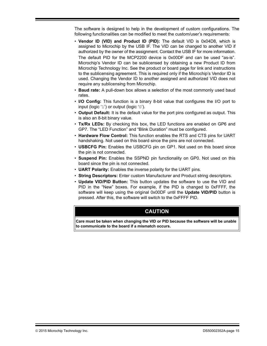The software is designed to help in the development of custom configurations. The following functionalities can be modified to meet the custom/user's requirements:

- **Vendor ID (VID) and Product ID (PID):** The default VID is 0x04D8, which is assigned to Microchip by the USB IF. The VID can be changed to another VID if authorized by the owner of the assignment. Contact the USB IF for more information. The default PID for the MCP2200 device is 0x00DF and can be used "as-is". Microchip's Vendor ID can be sublicensed by obtaining a new Product ID from Microchip Technology Inc. See the product or board page for link and instructions to the sublicensing agreement. This is required only if the Microchip's Vendor ID is used. Changing the Vendor ID to another assigned and authorized VID does not require any sublicensing from Microchip.
- **Baud rate:** A pull-down box allows a selection of the most commonly used baud rates.
- **I/O Config:** This function is a binary 8-bit value that configures the I/O port to input (logic '1') or output (logic '0').
- **Output Default:** It is the default value for the port pins configured as output. This is also an 8-bit binary value.
- **Tx/Rx LEDs:** By checking this box, the LED functions are enabled on GP6 and GP7. The "LED Function" and "Blink Duration" must be configured.
- **Hardware Flow Control:** This function enables the RTS and CTS pins for UART handshaking. Not used on this board since the pins are not connected.
- **USBCFG Pin:** Enables the USBCFG pin on GP1. Not used on this board since the pin is not connected.
- **Suspend Pin:** Enables the SSPND pin functionality on GP0. Not used on this board since the pin is not connected.
- **UART Polarity:** Enables the inverse polarity for the UART pins.
- **String Descriptors:** Enter custom Manufacturer and Product string descriptors.
- **Update VID/PID Button:** This button updates the software to use the VID and PID in the "New" boxes. For example, if the PID is changed to 0xFFFF, the software will keep using the original 0x00DF until the **Update VID/PID** button is pressed. After this, the software will switch to the 0xFFFF PID.

### **CAUTION**

**Care must be taken when changing the VID or PID because the software will be unable to communicate to the board if a mismatch occurs.**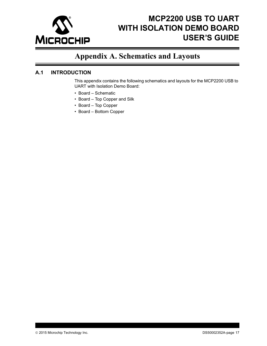

### <span id="page-16-2"></span>**Appendix A. Schematics and Layouts**

### <span id="page-16-1"></span><span id="page-16-0"></span>**A.1 INTRODUCTION**

This appendix contains the following schematics and layouts for the MCP2200 USB to UART with Isolation Demo Board:

- • [Board Schematic](#page-17-0)
- • [Board Top Copper and Silk](#page-18-0)
- • [Board Top Copper](#page-18-1)
- • [Board Bottom Copper](#page-18-2)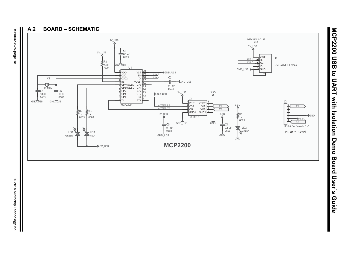<span id="page-17-0"></span>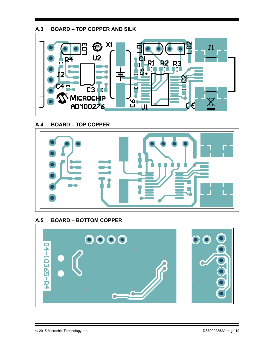### <span id="page-18-0"></span>**A.3 BOARD – TOP COPPER AND SILK**



<span id="page-18-1"></span>**A.4 BOARD – TOP COPPER** 



### <span id="page-18-2"></span>**A.5 BOARD – BOTTOM COPPER**

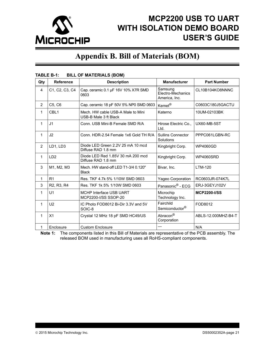

### <span id="page-20-1"></span>**Appendix B. Bill of Materials (BOM)**

| Qty            | Reference                                        | <b>DILL OF MATERIALS (DOM)</b><br><b>Description</b>       | <b>Manufacturer</b>                           | <b>Part Number</b>  |
|----------------|--------------------------------------------------|------------------------------------------------------------|-----------------------------------------------|---------------------|
|                |                                                  |                                                            |                                               |                     |
| $\overline{4}$ | C1, C2, C3, C4                                   | Cap. ceramic 0.1 µF 16V 10% X7R SMD<br>0603                | Samsung<br>Electro-Mechanics<br>America, Inc. | CL10B104KO8NNNC     |
| $\overline{2}$ | C5, C6                                           | Cap. ceramic 18 pF 50V 5% NP0 SMD 0603                     | Kemet <sup>®</sup>                            | C0603C180J5GACTU    |
| $\mathbf{1}$   | CBL1                                             | Mech. HW cable USB-A Male to Mini<br>USB-B Male 3 ft Black | Katerno                                       | 10UM-02103BK        |
| $\mathbf{1}$   | J <sub>1</sub>                                   | Conn. USB Mini-B Female SMD R/A                            | Hirose Electric Co.,<br>Ltd.                  | UX60-MB-5ST         |
| $\mathbf 1$    | J2                                               | Conn. HDR-2.54 Female 1x6 Gold TH R/A                      | <b>Sullins Connector</b><br>Solutions         | PPPC061LGBN-RC      |
| 2              | LD1, LD3                                         | Diode LED Green 2.2V 25 mA 10 mcd<br>Diffuse RAD 1.8 mm    | Kingbright Corp.                              | WP4060GD            |
| $\mathbf{1}$   | LD <sub>2</sub>                                  | Diode LED Red 1.85V 30 mA 200 mcd<br>Diffuse RAD 1.8 mm    | Kingbright Corp.                              | <b>WP4060SRD</b>    |
| 3              | M1, M2, M3                                       | Mech. HW stand-off LED T1-3/4 0.120"<br><b>Black</b>       | Bivar, Inc.                                   | LTM-120             |
| 1              | R <sub>1</sub>                                   | Res. TKF 4.7k 5% 1/10W SMD 0603                            | Yageo Corporation                             | RC0603JR-074K7L     |
| 3              | R <sub>2</sub> , R <sub>3</sub> , R <sub>4</sub> | Res. TKF 1k 5% 1/10W SMD 0603                              | Panasonic <sup>®</sup> - ECG                  | ERJ-3GEYJ102V       |
| 1              | U1                                               | <b>MCHP Interface USB UART</b><br>MCP2200-I/SS SSOP-20     | Microchip<br>Technology Inc.                  | <b>MCP2200-I/SS</b> |
| $\mathbf 1$    | U <sub>2</sub>                                   | IC Photo FOD8012 Bi-Dir 3.3V and 5V<br>SOIC-8              | Fairchild<br>Semiconductor <sup>®</sup>       | FOD8012             |
| 1              | X <sub>1</sub>                                   | Crystal 12 MHz 18 pF SMD HC49/US                           | Abracon <sup>®</sup><br>Corporation           | ABLS-12.000MHZ-B4-T |
| 1              | Enclosure                                        | <b>Custom Enclosure</b>                                    |                                               | N/A                 |

#### <span id="page-20-0"></span>**TABLE B-1: BILL OF MATERIALS (BOM)**

**Note 1:** The components listed in this Bill of Materials are representative of the PCB assembly. The released BOM used in manufacturing uses all RoHS-compliant components.